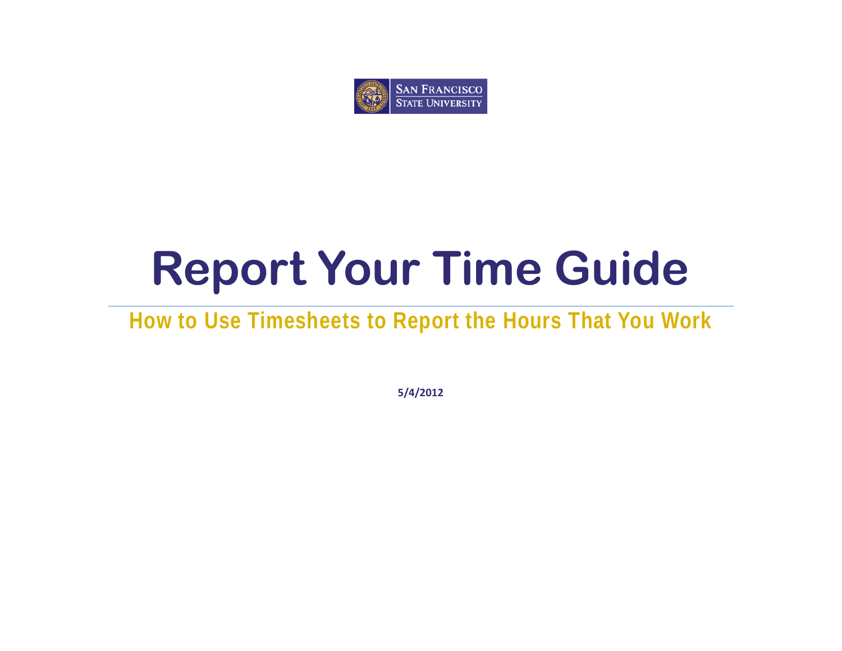

# **Report Your Time Guide**

# **How to Use Timesheets to Report the Hours That You Work**

**5/4/2012**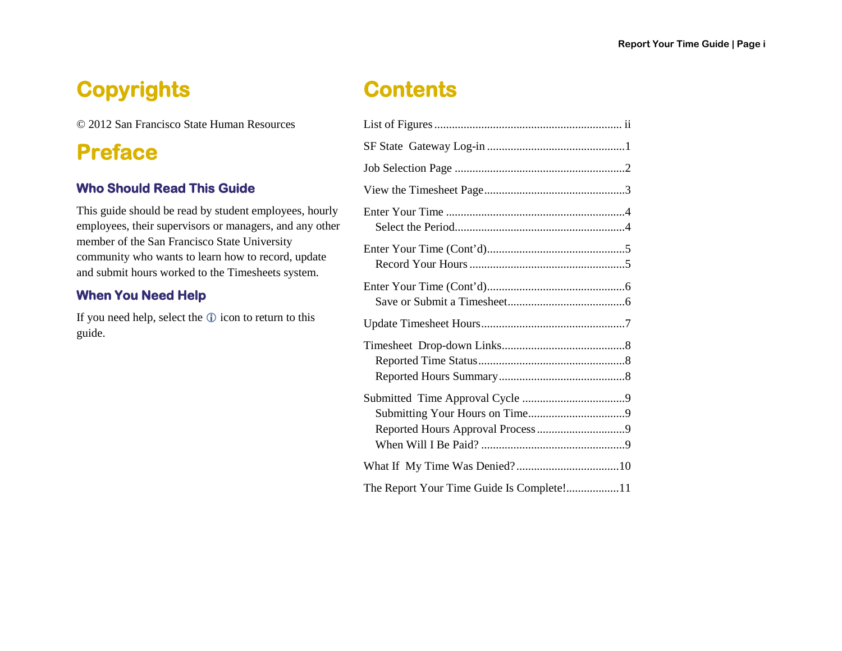### **Copyrights**

© 2012 San Francisco State Human Resources

### **Preface**

### **Who Should Read This Guide**

This guide should be read by student employees, hourly employees, their supervisors or managers, and any other member of the San Francisco State University community who wants to learn how to record, update and submit hours worked to the Timesheets system.

### **When You Need Help**

If you need help, select the  $\odot$  icon to return to this guide.

### **Contents**

| The Report Your Time Guide Is Complete!11 |
|-------------------------------------------|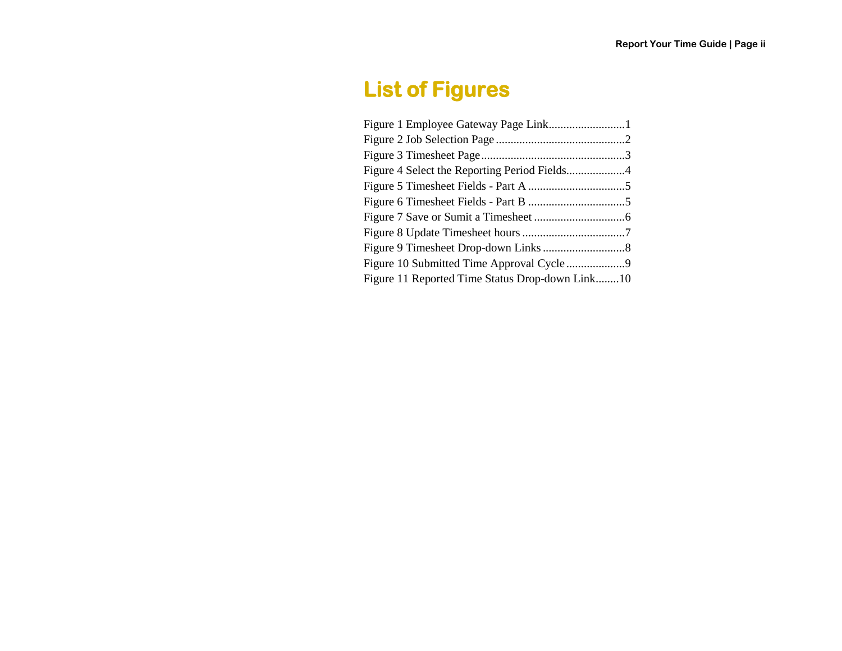### <span id="page-2-0"></span>**List of Figures**

| Figure 11 Reported Time Status Drop-down Link10 |
|-------------------------------------------------|
|                                                 |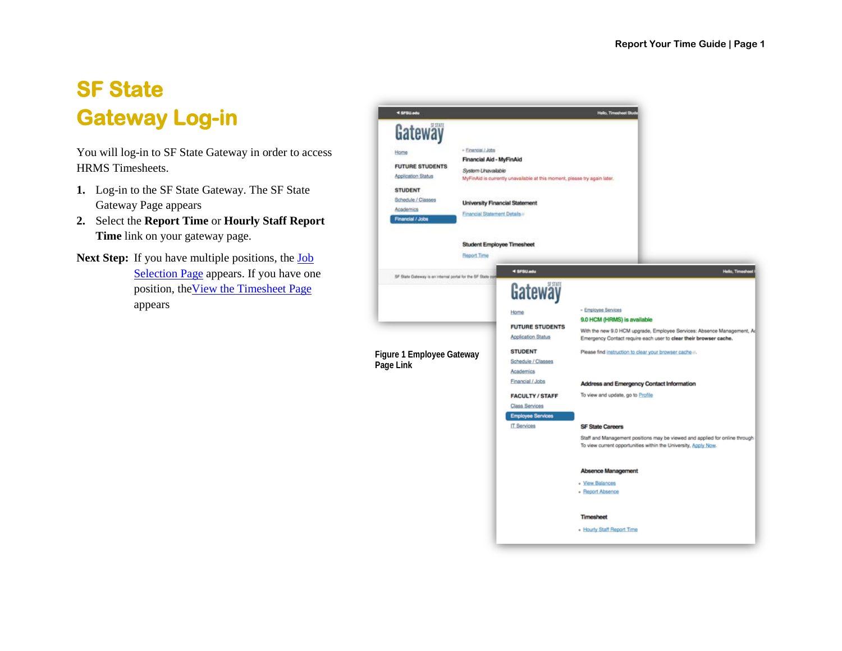### <span id="page-3-0"></span>**SF State Gateway Log-in**

You will log-in to SF State Gateway in order to access HRMS Timesheets.

- **1.** Log-in to the SF State Gateway. The SF State Gateway Page appears
- **2.** Select the **Report Time** or **Hourly Staff Report Time** link on your gateway page.
- <span id="page-3-1"></span>Next Step: If you have multiple positions, the **Job** [Selection Page](#page-3-1) appears. If you have one position, th[eView the Timesheet Page](#page-4-2) appears

| < SFSU.edu                                                                                                                               |                                                                                                       |                                                                                                                    | Helio, Timesheet St.                                                                                                                                                                               |
|------------------------------------------------------------------------------------------------------------------------------------------|-------------------------------------------------------------------------------------------------------|--------------------------------------------------------------------------------------------------------------------|----------------------------------------------------------------------------------------------------------------------------------------------------------------------------------------------------|
| Gateway<br>Home<br><b>FUTURE STUDENTS</b><br>Application Status<br><b>STUDENT</b><br>Schedule / Classes<br>Academics<br>Financial / Jobs | - Einancial / Jobs<br>Financial Aid - MyFinAid<br>System Unavailable<br>Financial Statement Details + | MyFinAid is currently unavailable at this moment, please try again later.<br><b>University Financial Statement</b> |                                                                                                                                                                                                    |
|                                                                                                                                          | <b>Beport Time</b>                                                                                    | Student Employee Timesheet                                                                                         |                                                                                                                                                                                                    |
| SF State Dateway is an internal portal for the SF State on                                                                               |                                                                                                       | 4 SFSU.edu<br>Gateway                                                                                              | Helio, Times                                                                                                                                                                                       |
|                                                                                                                                          |                                                                                                       | Home<br><b>FUTURE STUDENTS</b><br><b>Application Status</b>                                                        | - Employee Services<br>9.0 HCM (HRMS) is available<br>With the new 9.0 HCM upgrade, Employee Services: Absence Management, Ad<br>Emergency Contact require each user to clear their browser cache. |
| Figure 1 Employee Gateway<br>Page Link                                                                                                   |                                                                                                       | <b>STUDENT</b><br>Schedule / Classes<br>Academics                                                                  | Please find instruction to clear your browser cache a.                                                                                                                                             |
|                                                                                                                                          |                                                                                                       | Financial / Jobs<br><b>FACULTY / STAFF</b><br>Class Services<br><b>Employee Services</b>                           | Address and Emergency Contact Information<br>To view and update, go to Profile                                                                                                                     |
|                                                                                                                                          |                                                                                                       | IT Services                                                                                                        | <b>SF State Careers</b><br>Staff and Management positions may be viewed and applied for online through<br>To view current opportunities within the University, Apply Now.                          |
|                                                                                                                                          |                                                                                                       |                                                                                                                    | Absence Management<br>- View Balances<br>· Report Absence                                                                                                                                          |
|                                                                                                                                          |                                                                                                       |                                                                                                                    | <b>Timesheet</b><br>. Hourly Staff Report Time                                                                                                                                                     |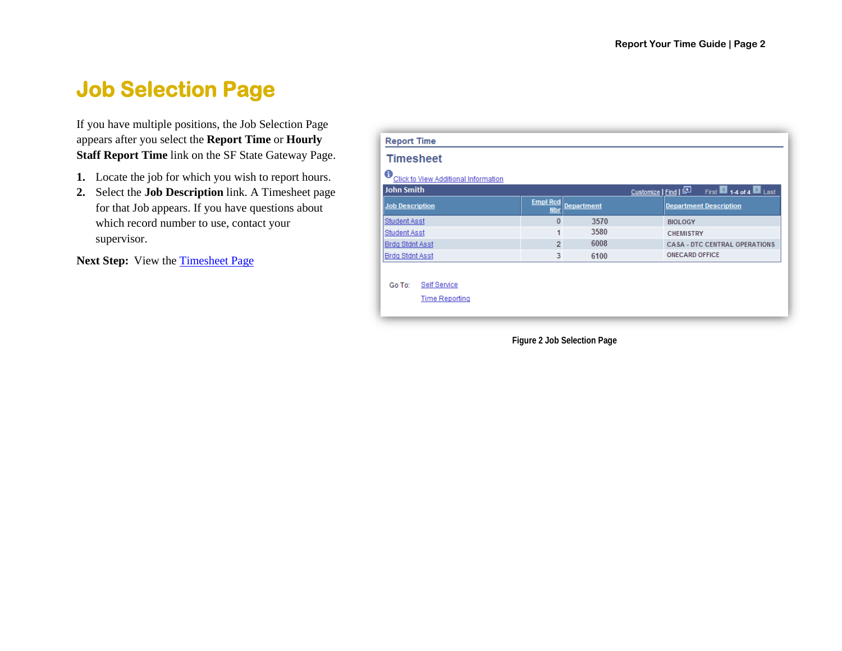### <span id="page-4-0"></span>**Job Selection Page**

If you have multiple positions, the Job Selection Page appears after you select the **Report Time** or **Hourly Staff Report Time** link on the SF State Gateway Page.

- **1.** Locate the job for which you wish to report hours.
- **2.** Select the **Job Description** link. A Timesheet page for that Job appears. If you have questions about which record number to use, contact your supervisor.

Next Step: View the [Timesheet Page](#page-5-0)

| <b>Report Time</b>                                     |                               |                   |                                            |
|--------------------------------------------------------|-------------------------------|-------------------|--------------------------------------------|
| <b>Timesheet</b>                                       |                               |                   |                                            |
| 0<br>Click to View Additional Information              |                               |                   |                                            |
| John Smith                                             |                               |                   | First 14 of 4 Last<br>Customize   Find   P |
| Job Description                                        | <b>Empl Rcd</b><br><b>Nbr</b> | <b>Department</b> | <b>Department Description</b>              |
| Student Asst                                           | 0                             | 3570              | <b>BIOLOGY</b>                             |
| Student Asst                                           |                               | 3580              | <b>CHEMISTRY</b>                           |
| <b>Brdg Stdnt Asst</b>                                 | 2                             | 6008              | <b>CASA - DTC CENTRAL OPERATIONS</b>       |
| <b>Brdg Stdnt Asst</b>                                 | 3                             | 6100              | <b>ONECARD OFFICE</b>                      |
| <b>Self Service</b><br>Go To:<br><b>Time Reporting</b> |                               |                   |                                            |

<span id="page-4-2"></span><span id="page-4-1"></span>**Figure 2 Job Selection Page**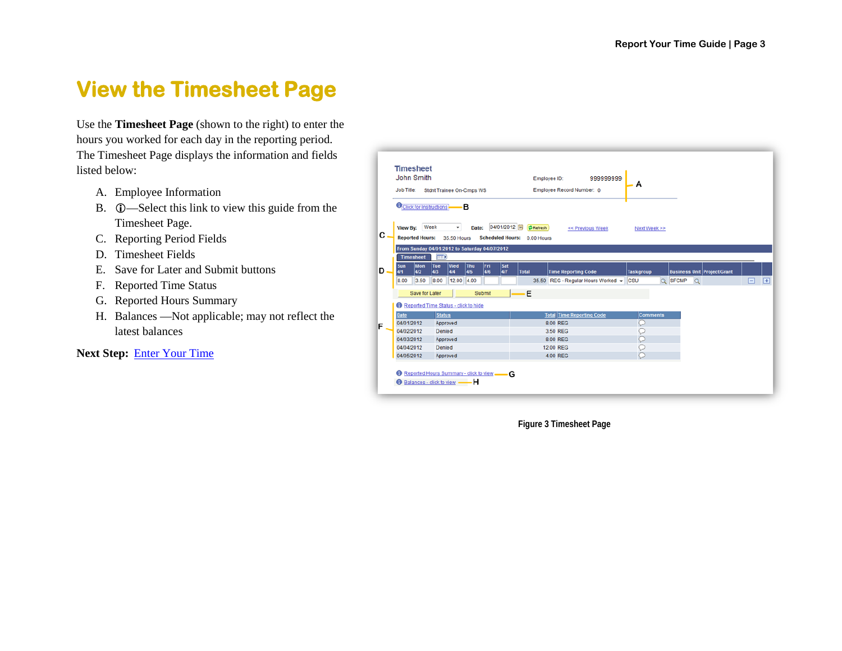### <span id="page-5-0"></span>**View the Timesheet Page**

Use the **Timesheet Page** (shown to the right) to enter the hours you worked for each day in the reporting period. The Timesheet Page displays the information and fields listed below:

- A. Employee Information
- B.  $\circled{0}$ —Select this link to view this guide from the Timesheet Page.
- C. Reporting Period Fields
- D. Timesheet Fields
- E. Save for Later and Submit buttons
- F. Reported Time Status
- G. Reported Hours Summary
- H. Balances —Not applicable; may not reflect the latest balances

#### **Next Step:** [Enter Your Time](#page-6-0)

| <b>John Smith</b><br><b>Job Title:</b> | <b>Timesheet</b><br>Stdnt Trainee On-Cmps WS                 |                    |                           | Employee ID:<br>Employee Record Number: 0 | 999999999                          | A                |                     |                                    |   |
|----------------------------------------|--------------------------------------------------------------|--------------------|---------------------------|-------------------------------------------|------------------------------------|------------------|---------------------|------------------------------------|---|
|                                        |                                                              |                    |                           |                                           |                                    |                  |                     |                                    |   |
|                                        | <b>O</b> Click for Instructions                              | в                  |                           |                                           |                                    |                  |                     |                                    |   |
|                                        | View By: Week                                                | ▼.<br>Date:        | 04/01/2012 31 (2 Refresh) |                                           | << Previous Week                   | Next Week >>     |                     |                                    |   |
|                                        | <b>Reported Hours:</b><br>35.50 Hours                        |                    | <b>Scheduled Hours:</b>   | 0.00 Hours                                |                                    |                  |                     |                                    |   |
|                                        |                                                              |                    |                           |                                           |                                    |                  |                     |                                    |   |
| <b>Timesheet</b>                       | From Sunday 04/01/2012 to Saturday 04/07/2012<br><b>FEED</b> |                    |                           |                                           |                                    |                  |                     |                                    |   |
| Sun                                    | Wed<br>Mon<br>Tue                                            | <b>Thu</b><br>lFri | Sat                       |                                           |                                    |                  |                     |                                    |   |
| 4/1                                    | 4/2<br>4/3<br>4/4                                            | 4/6<br>4/5         | 4/7<br><b>Total</b>       |                                           | <b>Time Reporting Code</b>         | <b>Taskgroup</b> |                     | <b>Business Unit Project/Grant</b> |   |
| 8.00                                   | 3.50<br>8.00                                                 | 12.00 4.00         |                           |                                           | 35.50 REG - Regular Hours Worked + | csu              | Q SFCMP<br>$\alpha$ |                                    | ⊟ |
|                                        | Save for Later                                               | Submit             |                           | E                                         |                                    |                  |                     |                                    |   |
|                                        | Reported Time Status - click to hide                         |                    |                           |                                           |                                    |                  |                     |                                    |   |
| <b>Date</b>                            | <b>Status</b>                                                |                    |                           |                                           | <b>Total Time Reporting Code</b>   | <b>Comments</b>  |                     |                                    |   |
| 04/01/2012                             | Approved                                                     |                    |                           | 8.00 REG                                  |                                    | Ω                |                     |                                    |   |
|                                        | Denied                                                       |                    |                           | 3.50 REG                                  |                                    |                  |                     |                                    |   |
| 04/02/2012                             |                                                              |                    |                           | 8.00 REG                                  |                                    | O                |                     |                                    |   |
| 04/03/2012                             | Approved                                                     |                    |                           | <b>12.00 REG</b>                          |                                    | C                |                     |                                    |   |
| 04/04/2012                             | Denied                                                       |                    |                           |                                           |                                    |                  |                     |                                    |   |

<span id="page-5-1"></span>**Figure 3 Timesheet Page**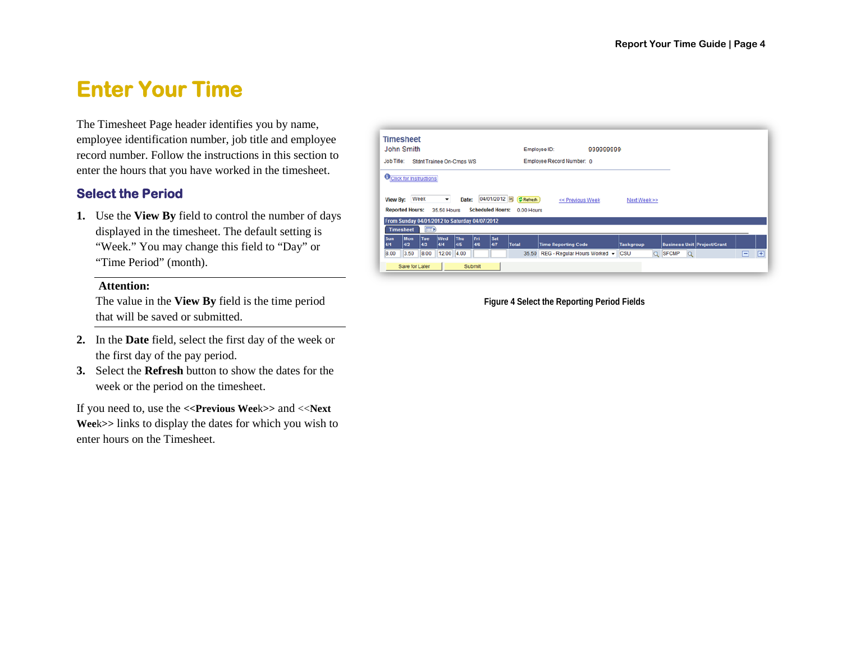### <span id="page-6-0"></span>**Enter Your Time**

The Timesheet Page header identifies you by name, employee identification number, job title and employee record number. Follow the instructions in this section to enter the hours that you have worked in the timesheet.

#### <span id="page-6-1"></span>**Select the Period**

**1.** Use the **View By** field to control the number of days displayed in the timesheet. The default setting is "Week." You may change this field to "Day" or "Time Period" (month).

#### **Attention:**

The value in the **View By** field is the time period that will be saved or submitted.

- **2.** In the **Date** field, select the first day of the week or the first day of the pay period.
- **3.** Select the **Refresh** button to show the dates for the week or the period on the timesheet.

If you need to, use the **<<Previous Wee**k**>>** and <<**Next Wee**k**>>** links to display the dates for which you wish to enter hours on the Timesheet.

| John Smith        |                                                                         |            |                   |                          |            |                         |                  | Employee ID:               | 999999999        |                  |  |                                    |  |  |
|-------------------|-------------------------------------------------------------------------|------------|-------------------|--------------------------|------------|-------------------------|------------------|----------------------------|------------------|------------------|--|------------------------------------|--|--|
| <b>Job Title:</b> |                                                                         |            |                   | Stdnt Trainee On-Cmps WS |            |                         |                  | Employee Record Number: 0  |                  |                  |  |                                    |  |  |
|                   | <b>O</b> Click for Instructions                                         |            |                   |                          |            |                         |                  |                            |                  |                  |  |                                    |  |  |
| <b>View By:</b>   | Week                                                                    |            | $\cdot$           | Date:                    |            | 04/01/2012              | <b>② Refresh</b> |                            | << Previous Week | Next Week >>     |  |                                    |  |  |
|                   | <b>Reported Hours:</b><br>From Sunday 04/01/2012 to Saturday 04/07/2012 |            | 35.50 Hours       |                          |            | <b>Scheduled Hours:</b> | 0.00 Hours       |                            |                  |                  |  |                                    |  |  |
| <b>Timesheet</b>  |                                                                         | <b>EEE</b> |                   |                          |            |                         |                  |                            |                  |                  |  |                                    |  |  |
| <b>Sun</b><br>4/1 | Mon<br>4/2                                                              | Tue<br>4/3 | <b>Wed</b><br>4/4 | Thu<br>4/5               | Fri<br>4/6 | Sat<br>4/7              | <b>Total</b>     | <b>Time Reporting Code</b> |                  | <b>Taskgroup</b> |  | <b>Business Unit Project/Grant</b> |  |  |

<span id="page-6-2"></span>**Figure 4 Select the Reporting Period Fields**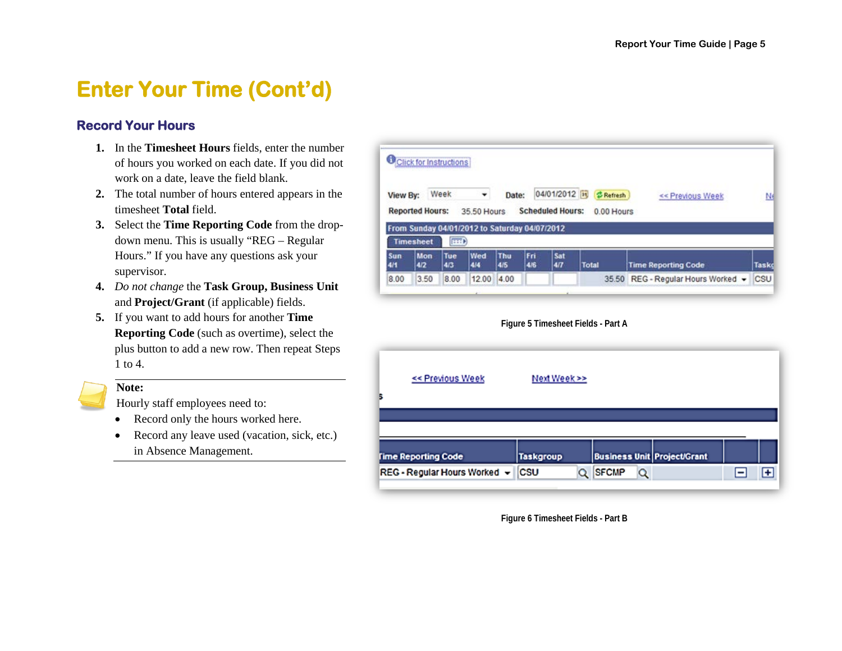### <span id="page-7-0"></span>**Enter Your Time (Cont'd)**

#### <span id="page-7-1"></span>**Record Your Hours**

- **1.** In the **Timesheet Hours** fields, enter the number of hours you worked on each date. If you did not work on a date, leave the field blank.
- **2.** The total number of hours entered appears in the timesheet **Total** field.
- **3.** Select the **Time Reporting Code** from the dropdown menu. This is usually "REG – Regular Hours." If you have any questions ask your supervisor.
- **4.** *Do not change* the **Task Group, Business Unit** and **Project/Grant** (if applicable) fields.
- **5.** If you want to add hours for another **Time Reporting Code** (such as overtime), select the plus button to add a new row. Then repeat Steps 1 to 4.

#### **Note:**

Hourly staff employees need to:

- Record only the hours worked here.
- Record any leave used (vacation, sick, etc.) in Absence Management.

| View By:               |                  | Week          |                                               | Date:      |            | 04/01/2012 31           | <b>C</b> Refresh | << Previous Week           | Nε           |
|------------------------|------------------|---------------|-----------------------------------------------|------------|------------|-------------------------|------------------|----------------------------|--------------|
| <b>Reported Hours:</b> |                  |               | 35.50 Hours                                   |            |            | <b>Scheduled Hours:</b> | 0.00 Hours       |                            |              |
|                        |                  |               | From Sunday 04/01/2012 to Saturday 04/07/2012 |            |            |                         |                  |                            |              |
|                        | <b>Timesheet</b> | $\sqrt{1110}$ |                                               |            |            |                         |                  |                            |              |
| Sun<br>4/1             | Mon<br>4/2       | Tue<br>4/3    | Wed<br>4/4                                    | Thu<br>4/5 | Fri<br>4/6 | Sat<br>4/7              | Total            | <b>Time Reporting Code</b> | <b>Tasko</b> |

**Figure 5 Timesheet Fields - Part A**

<span id="page-7-2"></span>

| << Previous Week                        | Next Week >>     |                                    |   |
|-----------------------------------------|------------------|------------------------------------|---|
|                                         |                  |                                    |   |
| <b>Fime Reporting Code</b>              | <b>Taskgroup</b> | <b>Business Unit Project/Grant</b> |   |
| REG - Regular Hours Worked $\mathbf{v}$ | <b>CSU</b><br>Q  | <b>SFCMP</b><br>Q                  | ÷ |

<span id="page-7-3"></span>**Figure 6 Timesheet Fields - Part B**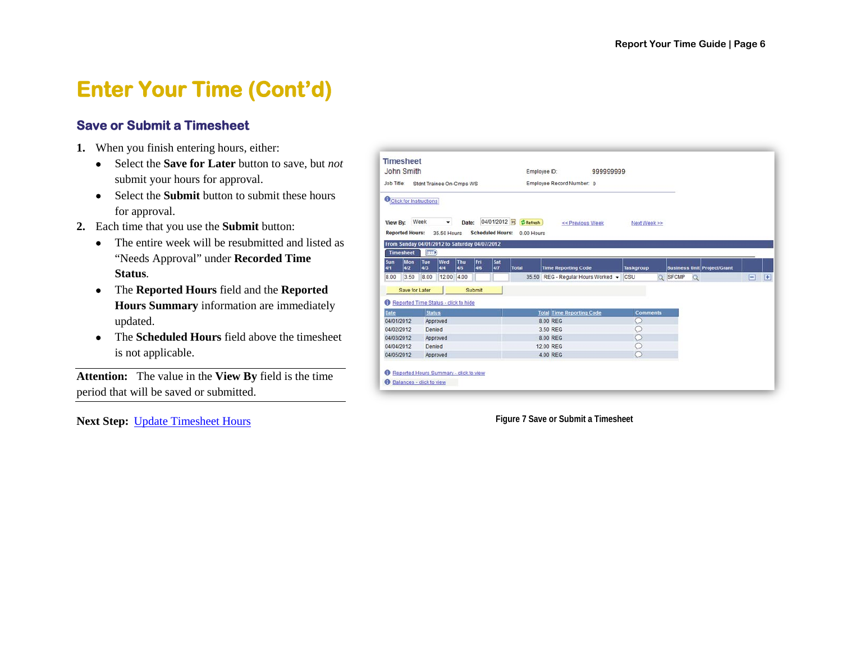### <span id="page-8-0"></span>**Enter Your Time (Cont'd)**

### <span id="page-8-1"></span>**Save or Submit a Timesheet**

- **1.** When you finish entering hours, either:
	- Select the **Save for Later** button to save, but *not*  submit your hours for approval.
	- Select the **Submit** button to submit these hours for approval.
- **2.** Each time that you use the **Submit** button:
	- The entire week will be resubmitted and listed as "Needs Approval" under **Recorded Time Status**.
	- The **Reported Hours** field and the **Reported Hours Summary** information are immediately updated.
	- The **Scheduled Hours** field above the timesheet is not applicable.

**Attention:** The value in the **View By** field is the time period that will be saved or submitted.

**Next Step:** [Update Timesheet Hours](#page-8-3) **Figure 7** Save or Submit a Timesheet

| John Smith                                                        |                          |                   |            |            |                         |                                         | Employee ID:<br>999999999          |                  |         |                                    |     |                    |
|-------------------------------------------------------------------|--------------------------|-------------------|------------|------------|-------------------------|-----------------------------------------|------------------------------------|------------------|---------|------------------------------------|-----|--------------------|
| Job Title:                                                        | Stdnt Trainee On-Cmps WS |                   |            |            |                         |                                         | Employee Record Number: 0          |                  |         |                                    |     |                    |
| <b>O</b> Click for Instructions                                   |                          |                   |            |            |                         |                                         |                                    |                  |         |                                    |     |                    |
| View By: Week<br><b>Reported Hours:</b>                           |                          | ۰<br>35.50 Hours  | Date:      |            | <b>Scheduled Hours:</b> | 04/01/2012 31 (S Refresh)<br>0.00 Hours | << Previous Week                   | Next Week >>     |         |                                    |     |                    |
| From Sunday 04/01/2012 to Saturday 04/07/2012<br><b>Timesheet</b> | <b>EXTRA</b>             |                   |            |            |                         |                                         |                                    |                  |         |                                    |     |                    |
| Mon<br>Sun<br>4/2<br>4/1                                          | Tue<br>4/3               | <b>Wed</b><br>4/4 | Thu<br>4/5 | Fri<br>4/6 | <b>Sat</b><br>477       | Total                                   | <b>Time Reporting Code</b>         | <b>Taskgroup</b> |         | <b>Business Unit Project/Grant</b> |     |                    |
| 3.50<br>8.00                                                      | 8.00                     | 12.00             | 4.00       |            |                         |                                         | 35.50 REG - Regular Hours Worked + | <b>CSU</b>       | Q SFCMP | $\alpha$                           | $=$ | $\left  + \right $ |
| Save for Later                                                    |                          |                   |            | Submit     |                         |                                         |                                    |                  |         |                                    |     |                    |
| Reported Time Status - click to hide                              |                          |                   |            |            |                         |                                         |                                    |                  |         |                                    |     |                    |
|                                                                   | <b>Status</b>            |                   |            |            |                         |                                         | <b>Total Time Reporting Code</b>   | <b>Comments</b>  |         |                                    |     |                    |
|                                                                   |                          | Approved          |            |            |                         |                                         | 8.00 REG                           | C                |         |                                    |     |                    |
|                                                                   |                          |                   |            |            |                         |                                         | 3.50 REG                           | C                |         |                                    |     |                    |
|                                                                   | Denied                   |                   |            |            |                         |                                         |                                    |                  |         |                                    |     |                    |
| Date<br>04/01/2012<br>04/02/2012<br>04/03/2012                    | Approved                 |                   |            |            |                         |                                         | 8.00 REG                           | Ω                |         |                                    |     |                    |
| 04/04/2012                                                        | Denied                   |                   |            |            |                         |                                         | <b>12.00 REG</b>                   | Ω<br>C           |         |                                    |     |                    |

<span id="page-8-3"></span><span id="page-8-2"></span>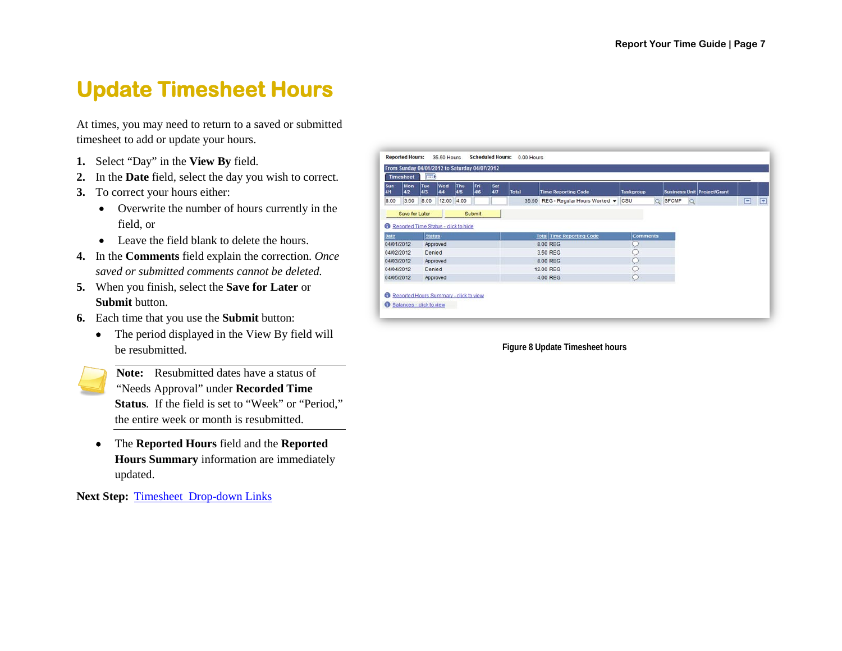### <span id="page-9-0"></span>**Update Timesheet Hours**

At times, you may need to return to a saved or submitted timesheet to add or update your hours.

- **1.** Select "Day" in the **View By** field.
- **2.** In the **Date** field, select the day you wish to correct.
- **3.** To correct your hours either:
	- Overwrite the number of hours currently in the field, or
	- Leave the field blank to delete the hours.
- **4.** In the **Comments** field explain the correction. *Once saved or submitted comments cannot be deleted.*
- **5.** When you finish, select the **Save for Later** or **Submit** button.
- **6.** Each time that you use the **Submit** button:
	- The period displayed in the View By field will be resubmitted.
		- **Note:** Resubmitted dates have a status of "Needs Approval" under **Recorded Time Status**. If the field is set to "Week" or "Period," the entire week or month is resubmitted.
	- The **Reported Hours** field and the **Reported Hours Summary** information are immediately updated.

**Next Step: [Timesheet Drop-down Links](#page-9-2)** 

|            | <b>Timesheet</b>                     | $\sqrt{1111}$ |            |            |            |            |       |                                              |                  |         |                                    |   |   |
|------------|--------------------------------------|---------------|------------|------------|------------|------------|-------|----------------------------------------------|------------------|---------|------------------------------------|---|---|
| Sun<br>4/1 | Mon<br>4/2                           | Tue<br>4/3    | Wed<br>4/4 | Thu<br>4/5 | Fri<br>4/6 | Sat<br>4/7 | Total | <b>Time Reporting Code</b>                   | <b>Taskgroup</b> |         | <b>Business Unit Project/Grant</b> |   |   |
| 8.00       | 3.50                                 | 8.00          | 12.00      | 4.00       |            |            |       | 35.50 REG - Regular Hours Worked +           | <b>CSU</b>       | Q SFCMP | $\Omega$                           | н | F |
|            | Save for Later                       |               |            |            | Submit     |            |       |                                              |                  |         |                                    |   |   |
|            | Reported Time Status - click to hide |               |            |            |            |            |       |                                              |                  |         |                                    |   |   |
|            |                                      |               |            |            |            |            |       |                                              |                  |         |                                    |   |   |
|            |                                      |               |            |            |            |            |       |                                              |                  |         |                                    |   |   |
| Date       | 04/01/2012                           | <b>Status</b> |            |            |            |            |       | <b>Total Time Reporting Code</b><br>8.00 REG | <b>Comments</b>  |         |                                    |   |   |
| 04/02/2012 |                                      | Denied        | Approved   |            |            |            |       | 3.50 REG                                     |                  |         |                                    |   |   |
| 04/03/2012 |                                      |               | Approved   |            |            |            |       | 8.00 REG                                     | C.               |         |                                    |   |   |
|            | 04/04/2012                           | Denied        |            |            |            |            |       | 12.00 REG                                    |                  |         |                                    |   |   |

<span id="page-9-2"></span><span id="page-9-1"></span>**Figure 8 Update Timesheet hours**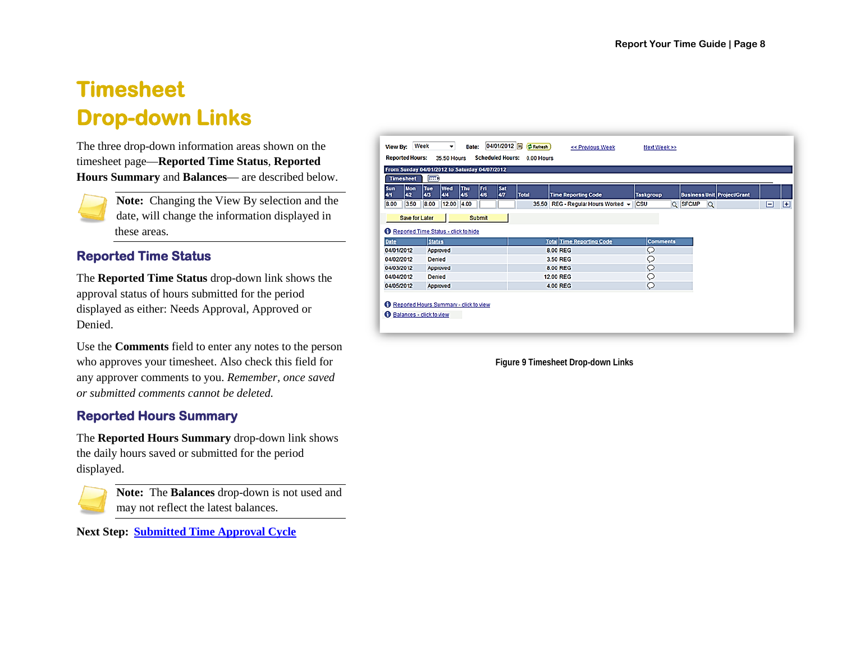### <span id="page-10-0"></span>**Timesheet Drop-down Links**

The three drop-down information areas shown on the timesheet page—**Reported Time Status**, **Reported Hours Summary** and **Balances**— are described below.

**Note:** Changing the View By selection and the date, will change the information displayed in these areas.

#### <span id="page-10-1"></span>**Reported Time Status**

The **Reported Time Status** drop-down link shows the approval status of hours submitted for the period displayed as either: Needs Approval, Approved or Denied.

Use the **Comments** field to enter any notes to the person who approves your timesheet. Also check this field for any approver comments to you. *Remember, once saved or submitted comments cannot be deleted.*

### <span id="page-10-2"></span>**Reported Hours Summary**

The **Reported Hours Summary** drop-down link shows the daily hours saved or submitted for the period displayed.



**Note:** The **Balances** drop-down is not used and may not reflect the latest balances.

**Next Step: [Submitted Time Approval Cycle](#page-10-4)**

| Sun<br>4/1                             | <b>Mon</b><br>4/2                    | Tue<br>4/3    | Wed<br>4/4 | Thu<br>4/5 | Fri<br>4/6    | Sat<br>4/7 | <b>Total</b> | <b>Time Reporting Code</b>             | <b>Taskgroup</b> |                     | <b>Business Unit Project/Grant</b> |   |   |
|----------------------------------------|--------------------------------------|---------------|------------|------------|---------------|------------|--------------|----------------------------------------|------------------|---------------------|------------------------------------|---|---|
| 8.00                                   | 3.50                                 | 8.00          | 12.00 4.00 |            |               |            |              | 35.50 REG - Regular Hours Worked - CSU |                  | Q SFCMP<br>$\alpha$ |                                    | ⊟ | 囲 |
|                                        | Save for Later                       |               |            |            | <b>Submit</b> |            |              |                                        |                  |                     |                                    |   |   |
|                                        | Reported Time Status - click to hide |               |            |            |               |            |              |                                        |                  |                     |                                    |   |   |
| <b>Date</b>                            |                                      | <b>Status</b> |            |            |               |            |              | <b>Total Time Reporting Code</b>       | <b>Comments</b>  |                     |                                    |   |   |
| 04/01/2012                             |                                      | Approved      |            |            |               |            |              | 8.00 REG                               | Q                |                     |                                    |   |   |
|                                        |                                      | Denied        |            |            |               |            |              | 3.50 REG                               | Ω                |                     |                                    |   |   |
|                                        |                                      |               |            |            |               |            |              | 8.00 REG                               | O                |                     |                                    |   |   |
|                                        |                                      | Approved      |            |            |               |            |              |                                        |                  |                     |                                    |   |   |
| 04/02/2012<br>04/03/2012<br>04/04/2012 |                                      | Denied        |            |            |               |            |              | <b>12.00 REG</b>                       | O                |                     |                                    |   |   |

<span id="page-10-4"></span><span id="page-10-3"></span>**Figure 9 Timesheet Drop-down Links**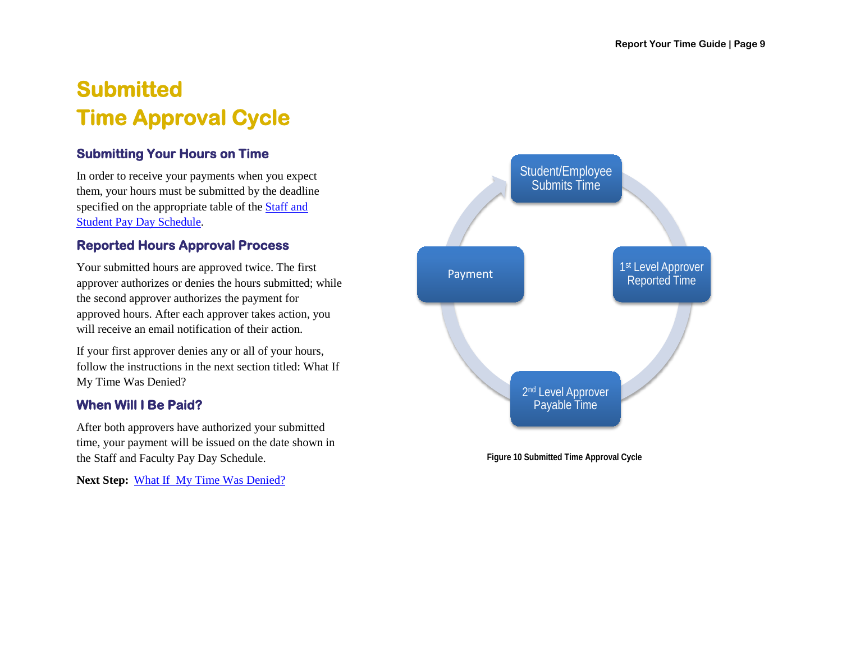# <span id="page-11-0"></span>**Submitted Time Approval Cycle**

### <span id="page-11-1"></span>**Submitting Your Hours on Time**

In order to receive your payments when you expect them, your hours must be submitted by the deadline specified on the appropriate table of the [Staff and](http://www.sfsu.edu/~hrwww/Payroll_Benefits/payroll/payday.html)  Student [Pay Day Schedule.](http://www.sfsu.edu/~hrwww/Payroll_Benefits/payroll/payday.html)

#### <span id="page-11-2"></span>**Reported Hours Approval Process**

Your submitted hours are approved twice. The first approver authorizes or denies the hours submitted; while the second approver authorizes the payment for approved hours. After each approver takes action, you will receive an email notification of their action.

If your first approver denies any or all of your hours, follow the instructions in the next section titled: What If My Time Was Denied?

### <span id="page-11-3"></span>**When Will I Be Paid?**

After both approvers have authorized your submitted time, your payment will be issued on the date shown in the Staff and Faculty Pay Day Schedule.

**Next Step:** [What If My Time Was Denied?](#page-11-5)



<span id="page-11-5"></span><span id="page-11-4"></span>**Figure 10 Submitted Time Approval Cycle**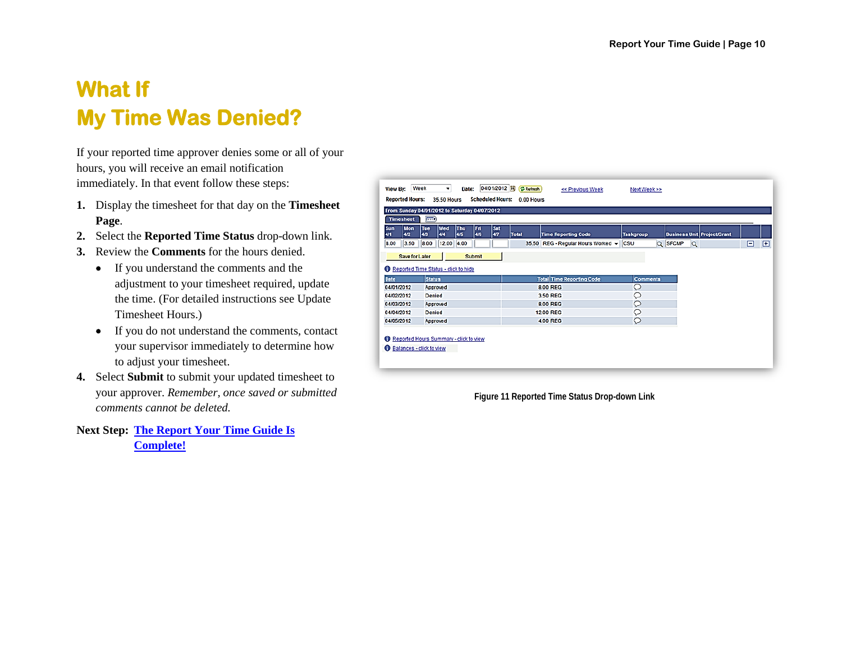## <span id="page-12-0"></span>**What If My Time Was Denied?**

If your reported time approver denies some or all of your hours, you will receive an email notification immediately. In that event follow these steps:

- **1.** Display the timesheet for that day on the **Timesheet Page**.
- **2.** Select the **Reported Time Status** drop-down link.
- **3.** Review the **Comments** for the hours denied.
	- If you understand the comments and the adjustment to your timesheet required, update the time. (For detailed instructions see Update Timesheet Hours.)
	- If you do not understand the comments, contact your supervisor immediately to determine how to adjust your timesheet.
- **4.** Select **Submit** to submit your updated timesheet to your approver. *Remember, once saved or submitted comments cannot be deleted.*

**Next Step: [The Report Your Time Guide Is](#page-13-0)  [Complete!](#page-13-0)**

|                          | <b>Timesheet</b>  | From Sunday 04/01/2012 to Saturday 04/07/2012<br>$\overline{\text{min}}$ |                          |               |                  |                                     |                  |         |                                    |                 |
|--------------------------|-------------------|--------------------------------------------------------------------------|--------------------------|---------------|------------------|-------------------------------------|------------------|---------|------------------------------------|-----------------|
| Sun<br>4/1               | <b>Mon</b><br>4/2 | <b>Tue</b><br>4/3<br>4/4                                                 | Wed<br><b>Thu</b><br>4/5 | Fri<br>4/6    | <b>Sat</b><br>47 | Total<br><b>Time Reporting Code</b> | <b>Taskgroup</b> |         | <b>Business Unit Project/Grant</b> |                 |
| 8.00                     | 3.50              | 8.00                                                                     | 12.00<br>4.00            |               |                  | 35.50 REG - Regular Hours Worked ~  | csu              | Q SFCMP | $\alpha$                           | $\boxplus$<br>⊟ |
|                          | Save for Later    |                                                                          |                          | <b>Submit</b> |                  |                                     |                  |         |                                    |                 |
|                          |                   | Reported Time Status - click to hide                                     |                          |               |                  |                                     |                  |         |                                    |                 |
|                          |                   |                                                                          |                          |               |                  |                                     |                  |         |                                    |                 |
| Date                     |                   | <b>Status</b>                                                            |                          |               |                  | <b>Total Time Reporting Code</b>    | <b>Comments</b>  |         |                                    |                 |
|                          |                   | Approved                                                                 |                          |               |                  | 8.00 REG                            | Q                |         |                                    |                 |
| 04/01/2012<br>04/02/2012 |                   | Denied                                                                   |                          |               |                  | 3.50 REG                            | Q                |         |                                    |                 |
|                          |                   | Approved                                                                 |                          |               |                  | 8.00 REG                            | Q                |         |                                    |                 |
| 04/03/2012<br>04/04/2012 |                   | Denied                                                                   |                          |               |                  | <b>12.00 REG</b>                    | Q                |         |                                    |                 |

<span id="page-12-1"></span>**Figure 11 Reported Time Status Drop-down Link**